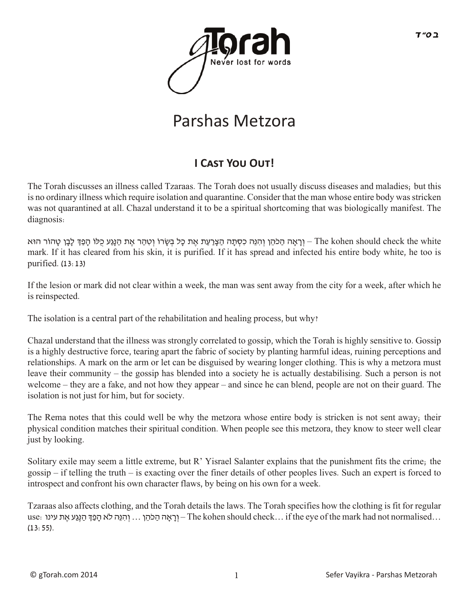

## Parshas Metzora

## **I CAST YOU OUT!**

The Torah discusses an illness called Tzaraas. The Torah does not usually discuss diseases and maladies; but this is no ordinary illness which require isolation and quarantine. Consider that the man whose entire body was stricken was not quarantined at all. Chazal understand it to be a spiritual shortcoming that was biologically manifest. The diagnosis:

The kohen should check the white – וְרָאָה הַכֹּהֵן וְהִנֵּה כִסְתָה הַצָּרַעַת אֶת כָּל בְּשְׂרוֹ וְטִהַר אֶת הַנְגַע כֻּלוֹ הָפַדְּ לָבָן טָהוֹר הוּא mark. If it has cleared from his skin, it is purified. If it has spread and infected his entire body white, he too is purified. (13:13)

If the lesion or mark did not clear within a week, the man was sent away from the city for a week, after which he is reinspected.

The isolation is a central part of the rehabilitation and healing process, but why?

Chazal understand that the illness was strongly correlated to gossip, which the Torah is highly sensitive to. Gossip is a highly destructive force, tearing apart the fabric of society by planting harmful ideas, ruining perceptions and relationships. A mark on the arm or let can be disguised by wearing longer clothing. This is why a metzora must leave their community – the gossip has blended into a society he is actually destabilising. Such a person is not welcome – they are a fake, and not how they appear – and since he can blend, people are not on their guard. The isolation is not just for him, but for society.

The Rema notes that this could well be why the metzora whose entire body is stricken is not sent away; their physical condition matches their spiritual condition. When people see this metzora, they know to steer well clear just by looking.

Solitary exile may seem a little extreme, but R' Yisrael Salanter explains that the punishment fits the crime; the gossip – if telling the truth – is exacting over the finer details of other peoples lives. Such an expert is forced to introspect and confront his own character flaws, by being on his own for a week.

Tzaraas also affects clothing, and the Torah details the laws. The Torah specifies how the clothing is fit for regular use: יִרְגֵּה לֹא הָפַךְּ הַגֵּע אֵת עינו (Ine kohen should check ... if the eye of the mark had not normalised  $(13:55)$ .